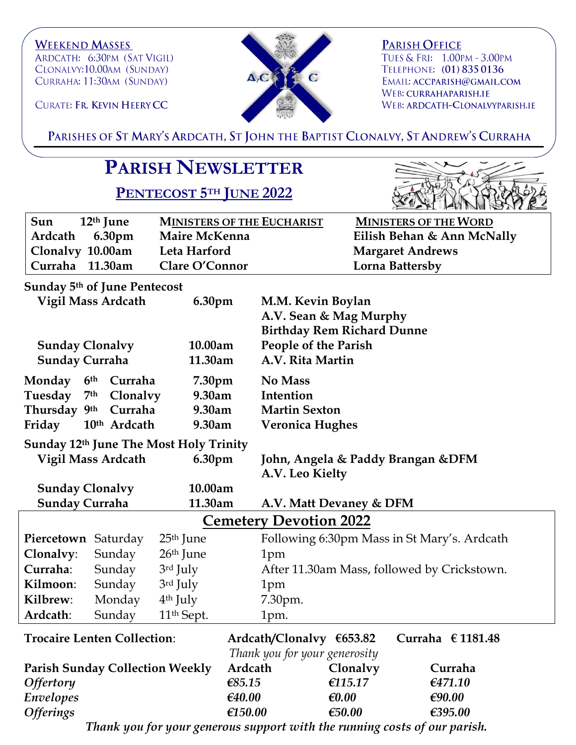**WEEKEND MASSES** ARDCATH: 6:30PM (SAT VIGIL) CLONALVY:10.00AM (SUNDAY) CURRAHA: 11:30AM (SUNDAY)

CURATE: FR. KEVIN HEERY CC



**PARISH OFFICE** TUES & FRI: 1.00PM - 3.00PM TELEPHONE: (01) 835 0136 EMAIL: ACCPARISH@GMAIL.COM WEB: CURRAHAPARISH.IE WEB: ARDCATH-CLONALVYPARISH.IE

PARISHES OF ST MARY'S ARDCATH, ST JOHN THE BAPTIST CLONALVY, ST ANDREW'S CURRAHA

## **PARISH NEWSLETTER**

**PENTECOST 5TH JUNE 2022**



| Sun<br>12 <sup>th</sup> June | <b>MINISTERS OF THE EUCHARIST</b> | <b>MINISTERS OF THE WORD</b> |
|------------------------------|-----------------------------------|------------------------------|
| Ardcath 6.30pm               | Maire McKenna                     | Eilish Behan & Ann McNally   |
| Clonalvy 10.00am             | Leta Harford                      | <b>Margaret Andrews</b>      |
| Curraha 11.30am              | Clare O'Connor                    | Lorna Battersby              |

**Sunday 5th of June Pentecost**

|                                        | Vigil Mass Ardcath          | 6.30pm                 |                                                           | M.M. Kevin Boylan<br>A.V. Sean & Mag Murphy<br><b>Birthday Rem Richard Dunne</b> |                                             |  |
|----------------------------------------|-----------------------------|------------------------|-----------------------------------------------------------|----------------------------------------------------------------------------------|---------------------------------------------|--|
| <b>Sunday Clonalvy</b>                 |                             | 10.00am                |                                                           | <b>People of the Parish</b>                                                      |                                             |  |
| <b>Sunday Curraha</b>                  |                             | 11.30am                |                                                           | A.V. Rita Martin                                                                 |                                             |  |
| Monday                                 | Curraha<br>6 <sup>th</sup>  | 7.30pm                 | No Mass                                                   |                                                                                  |                                             |  |
| Tuesday                                | 7 <sup>th</sup><br>Clonalvy | 9.30am                 | Intention                                                 |                                                                                  |                                             |  |
| Thursday 9th                           | Curraha                     | 9.30am                 |                                                           | <b>Martin Sexton</b>                                                             |                                             |  |
| Friday                                 | 10th Ardcath                | 9.30am                 |                                                           | <b>Veronica Hughes</b>                                                           |                                             |  |
| Sunday 12th June The Most Holy Trinity |                             |                        |                                                           |                                                                                  |                                             |  |
|                                        | <b>Vigil Mass Ardcath</b>   | 6.30pm                 |                                                           | John, Angela & Paddy Brangan & DFM                                               |                                             |  |
|                                        |                             |                        |                                                           | A.V. Leo Kielty                                                                  |                                             |  |
| <b>Sunday Clonalvy</b>                 |                             | 10.00am                |                                                           |                                                                                  |                                             |  |
| <b>Sunday Curraha</b>                  |                             | 11.30am                |                                                           | A.V. Matt Devaney & DFM                                                          |                                             |  |
| <b>Cemetery Devotion 2022</b>          |                             |                        |                                                           |                                                                                  |                                             |  |
| Piercetown Saturday                    |                             | 25 <sup>th</sup> June  |                                                           |                                                                                  | Following 6:30pm Mass in St Mary's. Ardcath |  |
| Clonalvy:                              | Sunday                      | 26 <sup>th</sup> June  | 1pm                                                       |                                                                                  |                                             |  |
| Curraha:                               | Sunday                      | 3rd July               |                                                           |                                                                                  | After 11.30am Mass, followed by Crickstown. |  |
| Kilmoon:                               | Sunday                      | 3rd July               | 1pm                                                       |                                                                                  |                                             |  |
| Kilbrew:                               | Monday                      | 4 <sup>th</sup> July   | 7.30pm.                                                   |                                                                                  |                                             |  |
| Ardcath:                               | Sunday                      | 11 <sup>th</sup> Sept. | 1pm.                                                      |                                                                                  |                                             |  |
| <b>Trocaire Lenten Collection:</b>     |                             |                        | Ardcath/Clonalvy €653.82<br>Thank you for your generosity | Curraha $\epsilon$ 1181.48                                                       |                                             |  |
| <b>Parish Sunday Collection Weekly</b> |                             | Ardcath                | Clonalvy                                                  | Curraha                                                                          |                                             |  |
| <b>Offertory</b>                       |                             |                        | € $85.15$                                                 | €115.17                                                                          | €471.10                                     |  |
| Envelopes                              |                             |                        | €40.00                                                    | $\epsilon$ 0.00                                                                  | €90.00                                      |  |
| <b>Offerings</b>                       |                             |                        | €150.00                                                   | € $50.00$                                                                        | €395.00                                     |  |

*Thank you for your generous support with the running costs of our parish.*